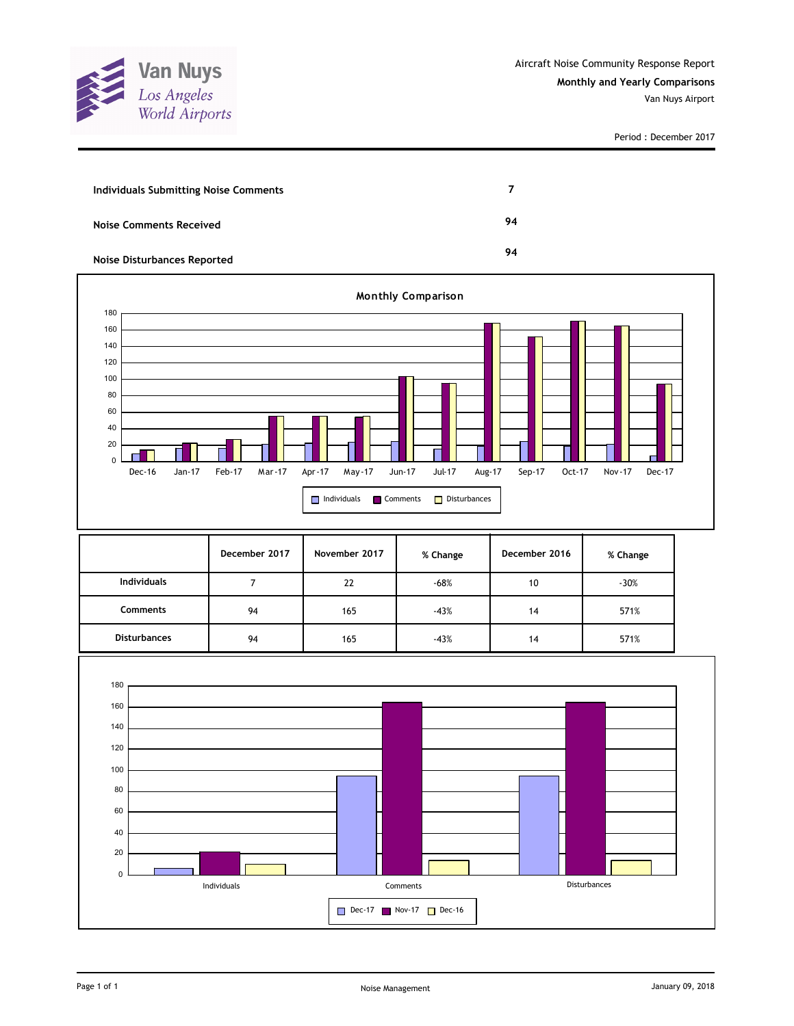

| Individuals Submitting Noise Comments |    |
|---------------------------------------|----|
| <b>Noise Comments Received</b>        | 94 |
| <b>Noise Disturbances Reported</b>    | 94 |



|                     | December 2017 | November 2017 | % Change | December 2016 | % Change |
|---------------------|---------------|---------------|----------|---------------|----------|
| <b>Individuals</b>  |               | 22            | $-68%$   | 10            | $-30%$   |
| <b>Comments</b>     | 94            | 165           | $-43%$   | 14            | 571%     |
| <b>Disturbances</b> | 94            | 165           | $-43%$   | 14            | 571%     |

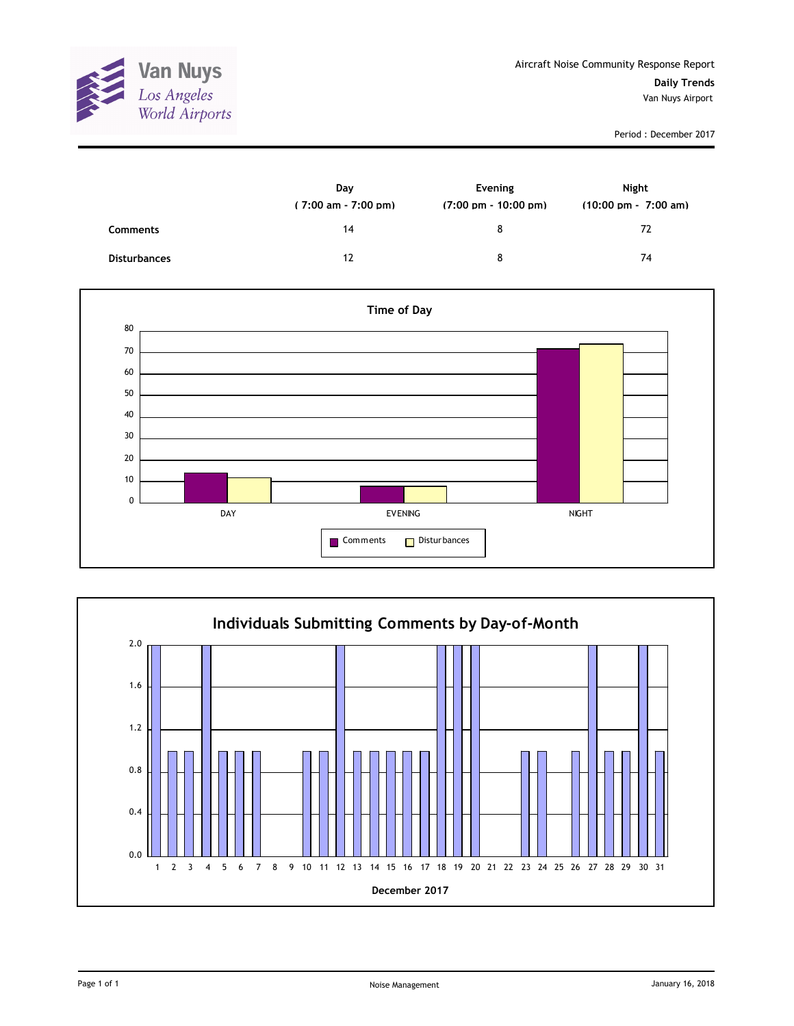

|                     | Day<br>$(7:00 \text{ am} - 7:00 \text{ pm})$ | Evening<br>$(7:00 \text{ pm} - 10:00 \text{ pm})$ | Night<br>$(10:00 \text{ pm} - 7:00 \text{ am})$ |
|---------------------|----------------------------------------------|---------------------------------------------------|-------------------------------------------------|
| <b>Comments</b>     | 14                                           | 8                                                 | 72                                              |
| <b>Disturbances</b> | 12                                           | 8                                                 | 74                                              |



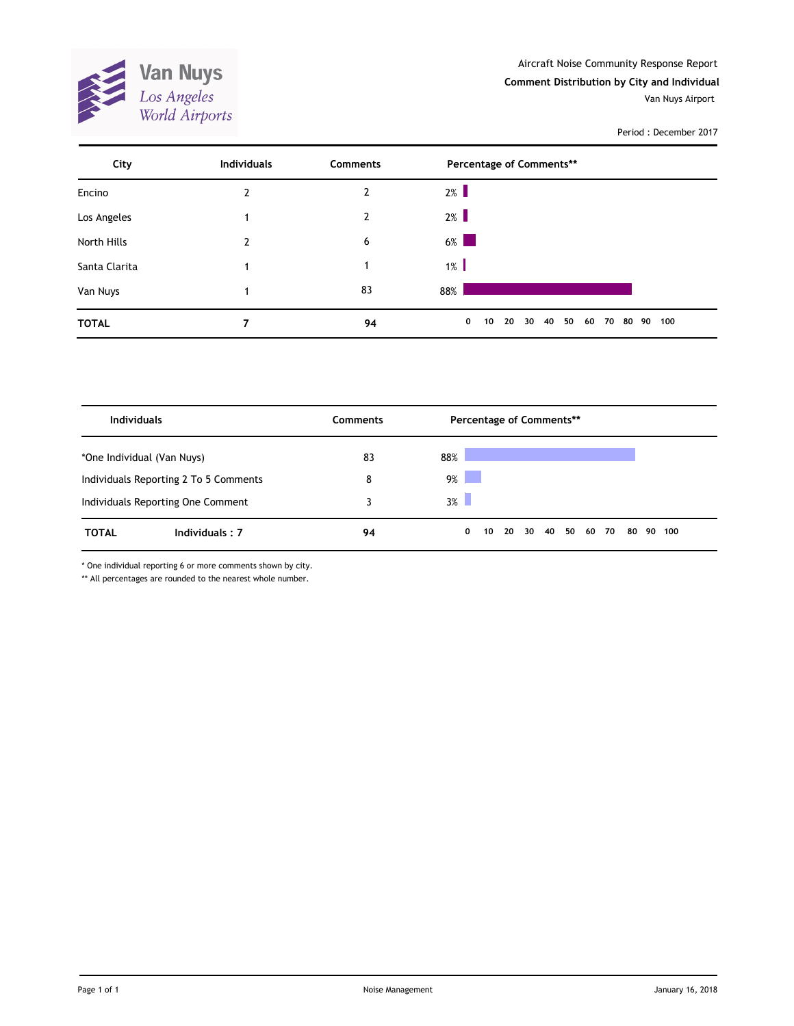

| City          | <b>Individuals</b> | <b>Comments</b> | Percentage of Comments**                                                 |
|---------------|--------------------|-----------------|--------------------------------------------------------------------------|
| Encino        | 2                  | $\overline{2}$  | $2\%$                                                                    |
| Los Angeles   |                    | $\mathbf{2}$    | $2\%$                                                                    |
| North Hills   | 2                  | 6               | $6\%$                                                                    |
| Santa Clarita |                    | 1               | $1\%$                                                                    |
| Van Nuys      |                    | 83              | 88%                                                                      |
| <b>TOTAL</b>  | 7                  | 94              | 50<br>$\mathbf 0$<br>30<br>40<br>10<br>20<br>60<br>70<br>80<br>90<br>100 |

| <b>Individuals</b>                    |                | <b>Comments</b> | Percentage of Comments** |    |       |  |             |  |  |    |    |     |  |
|---------------------------------------|----------------|-----------------|--------------------------|----|-------|--|-------------|--|--|----|----|-----|--|
| *One Individual (Van Nuys)            |                | 83              | 88%                      |    |       |  |             |  |  |    |    |     |  |
| Individuals Reporting 2 To 5 Comments |                | 8               | 9%                       |    |       |  |             |  |  |    |    |     |  |
| Individuals Reporting One Comment     |                |                 | $3\%$                    |    |       |  |             |  |  |    |    |     |  |
| <b>TOTAL</b>                          | Individuals: 7 | 94              | $\mathbf{0}$             | 10 | 20 30 |  | 40 50 60 70 |  |  | 80 | 90 | 100 |  |

\* One individual reporting 6 or more comments shown by city.

\*\* All percentages are rounded to the nearest whole number.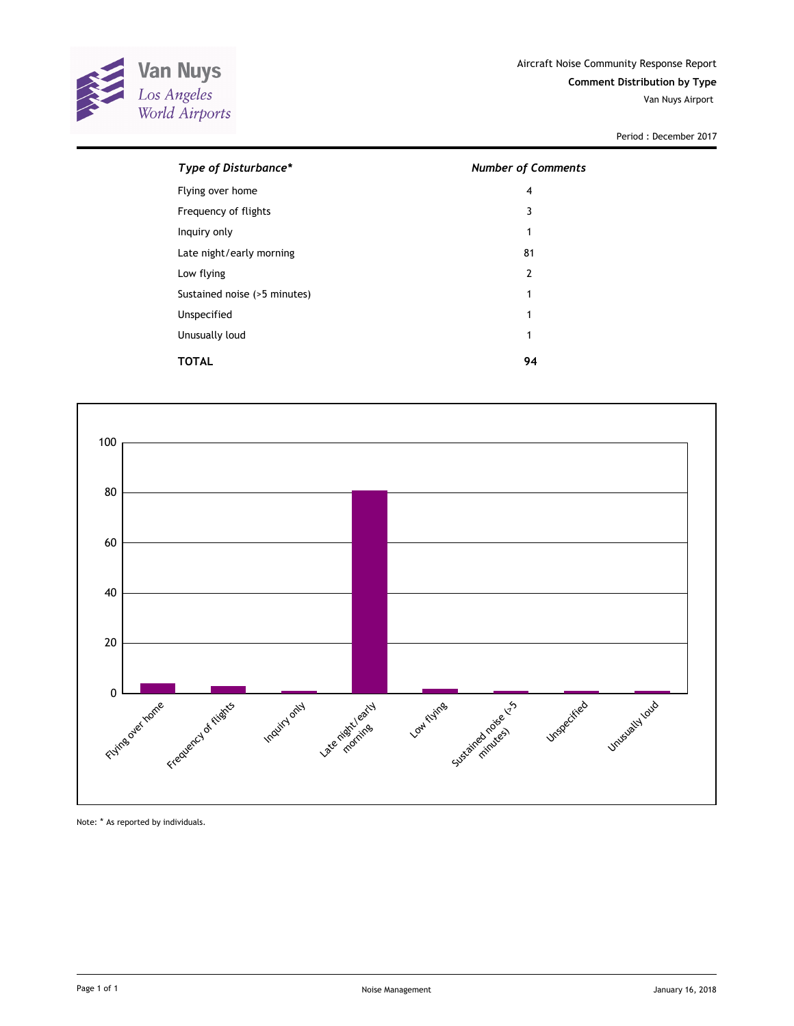

| Type of Disturbance*         | <b>Number of Comments</b> |
|------------------------------|---------------------------|
| Flying over home             | 4                         |
| Frequency of flights         | 3                         |
| Inquiry only                 | 1                         |
| Late night/early morning     | 81                        |
| Low flying                   | $\overline{2}$            |
| Sustained noise (>5 minutes) | 1                         |
| Unspecified                  | 1                         |
| Unusually loud               | 1                         |
| TOTAL                        | 94                        |



Note: \* As reported by individuals.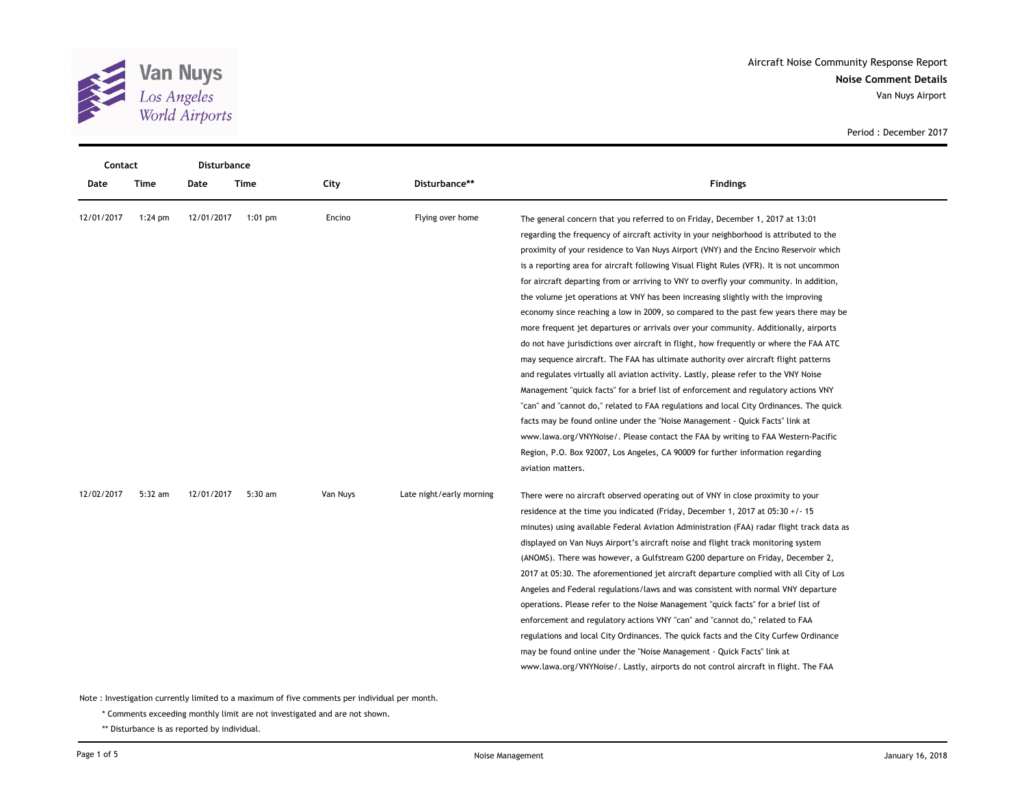

**Noise Comment Details** Aircraft Noise Community Response Report Van Nuys Airport

Period : December 2017

| Contact    |           | <b>Disturbance</b> |           |          |                          |                                                                                                                                                                                                                                                                                                                                                                                                                                                                                                                                                                                                                                                                                                                                                                                                                                                                                                                                                                                                                                                                                                                                                                                                                                                                                                                                                                                                                                                                 |
|------------|-----------|--------------------|-----------|----------|--------------------------|-----------------------------------------------------------------------------------------------------------------------------------------------------------------------------------------------------------------------------------------------------------------------------------------------------------------------------------------------------------------------------------------------------------------------------------------------------------------------------------------------------------------------------------------------------------------------------------------------------------------------------------------------------------------------------------------------------------------------------------------------------------------------------------------------------------------------------------------------------------------------------------------------------------------------------------------------------------------------------------------------------------------------------------------------------------------------------------------------------------------------------------------------------------------------------------------------------------------------------------------------------------------------------------------------------------------------------------------------------------------------------------------------------------------------------------------------------------------|
| Date       | Time      | Date               | Time      | City     | Disturbance**            | <b>Findings</b>                                                                                                                                                                                                                                                                                                                                                                                                                                                                                                                                                                                                                                                                                                                                                                                                                                                                                                                                                                                                                                                                                                                                                                                                                                                                                                                                                                                                                                                 |
| 12/01/2017 | $1:24$ pm | 12/01/2017         | $1:01$ pm | Encino   | Flying over home         | The general concern that you referred to on Friday, December 1, 2017 at 13:01<br>regarding the frequency of aircraft activity in your neighborhood is attributed to the<br>proximity of your residence to Van Nuys Airport (VNY) and the Encino Reservoir which<br>is a reporting area for aircraft following Visual Flight Rules (VFR). It is not uncommon<br>for aircraft departing from or arriving to VNY to overfly your community. In addition,<br>the volume jet operations at VNY has been increasing slightly with the improving<br>economy since reaching a low in 2009, so compared to the past few years there may be<br>more frequent jet departures or arrivals over your community. Additionally, airports<br>do not have jurisdictions over aircraft in flight, how frequently or where the FAA ATC<br>may sequence aircraft. The FAA has ultimate authority over aircraft flight patterns<br>and regulates virtually all aviation activity. Lastly, please refer to the VNY Noise<br>Management "quick facts" for a brief list of enforcement and regulatory actions VNY<br>"can" and "cannot do," related to FAA regulations and local City Ordinances. The quick<br>facts may be found online under the "Noise Management - Quick Facts" link at<br>www.lawa.org/VNYNoise/. Please contact the FAA by writing to FAA Western-Pacific<br>Region, P.O. Box 92007, Los Angeles, CA 90009 for further information regarding<br>aviation matters. |
| 12/02/2017 | $5:32$ am | 12/01/2017         | 5:30 am   | Van Nuys | Late night/early morning | There were no aircraft observed operating out of VNY in close proximity to your<br>residence at the time you indicated (Friday, December 1, 2017 at 05:30 +/- 15<br>minutes) using available Federal Aviation Administration (FAA) radar flight track data as<br>displayed on Van Nuys Airport's aircraft noise and flight track monitoring system<br>(ANOMS). There was however, a Gulfstream G200 departure on Friday, December 2,<br>2017 at 05:30. The aforementioned jet aircraft departure complied with all City of Los<br>Angeles and Federal regulations/laws and was consistent with normal VNY departure<br>operations. Please refer to the Noise Management "quick facts" for a brief list of<br>enforcement and regulatory actions VNY "can" and "cannot do," related to FAA<br>regulations and local City Ordinances. The quick facts and the City Curfew Ordinance<br>may be found online under the "Noise Management - Quick Facts" link at<br>www.lawa.org/VNYNoise/. Lastly, airports do not control aircraft in flight. The FAA                                                                                                                                                                                                                                                                                                                                                                                                              |

Note : Investigation currently limited to a maximum of five comments per individual per month.

\* Comments exceeding monthly limit are not investigated and are not shown.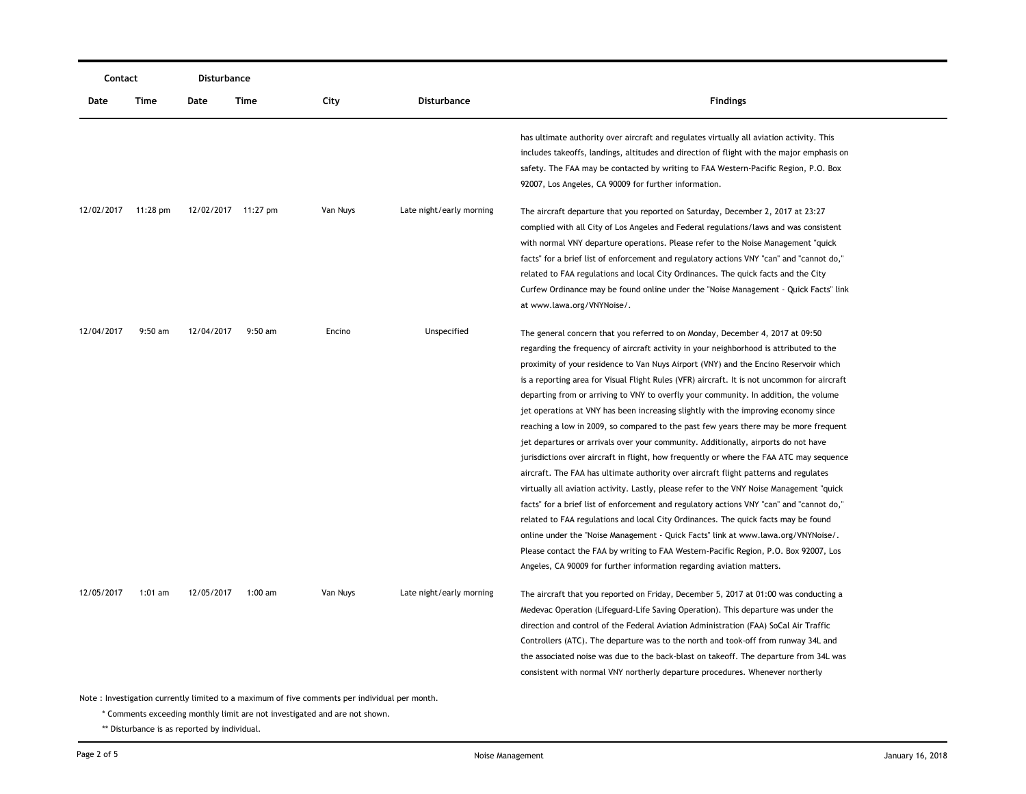| Contact                                                                                       |           | Disturbance |                     |          |                          |                                                                                                                                                                                                                                                                                                                                                                                                                                                                                                                                                                                                                                                                                                                                                                                                                                                                                                                                                                                                                                                                                                                                                                                                                                                                                                                                                                                                                                                    |  |  |  |
|-----------------------------------------------------------------------------------------------|-----------|-------------|---------------------|----------|--------------------------|----------------------------------------------------------------------------------------------------------------------------------------------------------------------------------------------------------------------------------------------------------------------------------------------------------------------------------------------------------------------------------------------------------------------------------------------------------------------------------------------------------------------------------------------------------------------------------------------------------------------------------------------------------------------------------------------------------------------------------------------------------------------------------------------------------------------------------------------------------------------------------------------------------------------------------------------------------------------------------------------------------------------------------------------------------------------------------------------------------------------------------------------------------------------------------------------------------------------------------------------------------------------------------------------------------------------------------------------------------------------------------------------------------------------------------------------------|--|--|--|
| Date                                                                                          | Time      | Date        | Time                | City     | <b>Disturbance</b>       | <b>Findings</b>                                                                                                                                                                                                                                                                                                                                                                                                                                                                                                                                                                                                                                                                                                                                                                                                                                                                                                                                                                                                                                                                                                                                                                                                                                                                                                                                                                                                                                    |  |  |  |
|                                                                                               |           |             |                     |          |                          | has ultimate authority over aircraft and regulates virtually all aviation activity. This<br>includes takeoffs, landings, altitudes and direction of flight with the major emphasis on<br>safety. The FAA may be contacted by writing to FAA Western-Pacific Region, P.O. Box<br>92007, Los Angeles, CA 90009 for further information.                                                                                                                                                                                                                                                                                                                                                                                                                                                                                                                                                                                                                                                                                                                                                                                                                                                                                                                                                                                                                                                                                                              |  |  |  |
| 12/02/2017                                                                                    | 11:28 pm  |             | 12/02/2017 11:27 pm | Van Nuys | Late night/early morning | The aircraft departure that you reported on Saturday, December 2, 2017 at 23:27<br>complied with all City of Los Angeles and Federal regulations/laws and was consistent<br>with normal VNY departure operations. Please refer to the Noise Management "quick<br>facts" for a brief list of enforcement and regulatory actions VNY "can" and "cannot do,"<br>related to FAA regulations and local City Ordinances. The quick facts and the City<br>Curfew Ordinance may be found online under the "Noise Management - Quick Facts" link<br>at www.lawa.org/VNYNoise/.                                                                                                                                                                                                                                                                                                                                                                                                                                                                                                                                                                                                                                                                                                                                                                                                                                                                              |  |  |  |
| 12/04/2017                                                                                    | $9:50$ am | 12/04/2017  | $9:50$ am           | Encino   | Unspecified              | The general concern that you referred to on Monday, December 4, 2017 at 09:50<br>regarding the frequency of aircraft activity in your neighborhood is attributed to the<br>proximity of your residence to Van Nuys Airport (VNY) and the Encino Reservoir which<br>is a reporting area for Visual Flight Rules (VFR) aircraft. It is not uncommon for aircraft<br>departing from or arriving to VNY to overfly your community. In addition, the volume<br>jet operations at VNY has been increasing slightly with the improving economy since<br>reaching a low in 2009, so compared to the past few years there may be more frequent<br>jet departures or arrivals over your community. Additionally, airports do not have<br>jurisdictions over aircraft in flight, how frequently or where the FAA ATC may sequence<br>aircraft. The FAA has ultimate authority over aircraft flight patterns and regulates<br>virtually all aviation activity. Lastly, please refer to the VNY Noise Management "quick<br>facts" for a brief list of enforcement and regulatory actions VNY "can" and "cannot do,"<br>related to FAA regulations and local City Ordinances. The quick facts may be found<br>online under the "Noise Management - Quick Facts" link at www.lawa.org/VNYNoise/.<br>Please contact the FAA by writing to FAA Western-Pacific Region, P.O. Box 92007, Los<br>Angeles, CA 90009 for further information regarding aviation matters. |  |  |  |
| 12/05/2017                                                                                    | $1:01$ am | 12/05/2017  | 1:00 am             | Van Nuys | Late night/early morning | The aircraft that you reported on Friday, December 5, 2017 at 01:00 was conducting a<br>Medevac Operation (Lifeguard-Life Saving Operation). This departure was under the<br>direction and control of the Federal Aviation Administration (FAA) SoCal Air Traffic<br>Controllers (ATC). The departure was to the north and took-off from runway 34L and<br>the associated noise was due to the back-blast on takeoff. The departure from 34L was<br>consistent with normal VNY northerly departure procedures. Whenever northerly                                                                                                                                                                                                                                                                                                                                                                                                                                                                                                                                                                                                                                                                                                                                                                                                                                                                                                                  |  |  |  |
| Note: Investigation currently limited to a maximum of five comments per individual per month. |           |             |                     |          |                          |                                                                                                                                                                                                                                                                                                                                                                                                                                                                                                                                                                                                                                                                                                                                                                                                                                                                                                                                                                                                                                                                                                                                                                                                                                                                                                                                                                                                                                                    |  |  |  |

\* Comments exceeding monthly limit are not investigated and are not shown.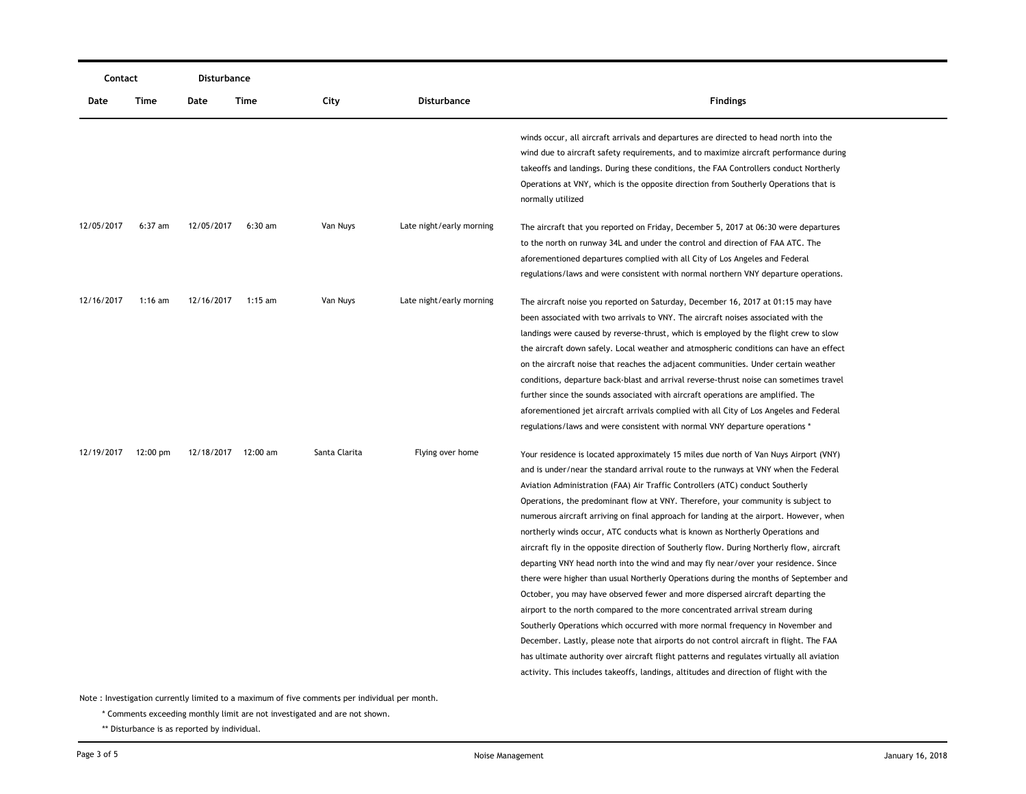| Contact    |                    | Disturbance |                     |               |                          |                                                                                                                                                                                                                                                                                                                                                                                                                                                                                                                                                                                                                                                                                                                                                                                                                                                                                                                                                                                                                                                                                                                                                                                                                                                                                                                                             |
|------------|--------------------|-------------|---------------------|---------------|--------------------------|---------------------------------------------------------------------------------------------------------------------------------------------------------------------------------------------------------------------------------------------------------------------------------------------------------------------------------------------------------------------------------------------------------------------------------------------------------------------------------------------------------------------------------------------------------------------------------------------------------------------------------------------------------------------------------------------------------------------------------------------------------------------------------------------------------------------------------------------------------------------------------------------------------------------------------------------------------------------------------------------------------------------------------------------------------------------------------------------------------------------------------------------------------------------------------------------------------------------------------------------------------------------------------------------------------------------------------------------|
| Date       | Time               | Date        | Time                | City          | <b>Disturbance</b>       | <b>Findings</b>                                                                                                                                                                                                                                                                                                                                                                                                                                                                                                                                                                                                                                                                                                                                                                                                                                                                                                                                                                                                                                                                                                                                                                                                                                                                                                                             |
|            |                    |             |                     |               |                          | winds occur, all aircraft arrivals and departures are directed to head north into the<br>wind due to aircraft safety requirements, and to maximize aircraft performance during<br>takeoffs and landings. During these conditions, the FAA Controllers conduct Northerly<br>Operations at VNY, which is the opposite direction from Southerly Operations that is<br>normally utilized                                                                                                                                                                                                                                                                                                                                                                                                                                                                                                                                                                                                                                                                                                                                                                                                                                                                                                                                                        |
| 12/05/2017 | $6:37$ am          | 12/05/2017  | $6:30$ am           | Van Nuys      | Late night/early morning | The aircraft that you reported on Friday, December 5, 2017 at 06:30 were departures<br>to the north on runway 34L and under the control and direction of FAA ATC. The<br>aforementioned departures complied with all City of Los Angeles and Federal<br>regulations/laws and were consistent with normal northern VNY departure operations.                                                                                                                                                                                                                                                                                                                                                                                                                                                                                                                                                                                                                                                                                                                                                                                                                                                                                                                                                                                                 |
| 12/16/2017 | 1:16 am            | 12/16/2017  | $1:15$ am           | Van Nuys      | Late night/early morning | The aircraft noise you reported on Saturday, December 16, 2017 at 01:15 may have<br>been associated with two arrivals to VNY. The aircraft noises associated with the<br>landings were caused by reverse-thrust, which is employed by the flight crew to slow<br>the aircraft down safely. Local weather and atmospheric conditions can have an effect<br>on the aircraft noise that reaches the adjacent communities. Under certain weather<br>conditions, departure back-blast and arrival reverse-thrust noise can sometimes travel<br>further since the sounds associated with aircraft operations are amplified. The<br>aforementioned jet aircraft arrivals complied with all City of Los Angeles and Federal<br>regulations/laws and were consistent with normal VNY departure operations *                                                                                                                                                                                                                                                                                                                                                                                                                                                                                                                                          |
| 12/19/2017 | $12:00 \text{ pm}$ |             | 12/18/2017 12:00 am | Santa Clarita | Flying over home         | Your residence is located approximately 15 miles due north of Van Nuys Airport (VNY)<br>and is under/near the standard arrival route to the runways at VNY when the Federal<br>Aviation Administration (FAA) Air Traffic Controllers (ATC) conduct Southerly<br>Operations, the predominant flow at VNY. Therefore, your community is subject to<br>numerous aircraft arriving on final approach for landing at the airport. However, when<br>northerly winds occur, ATC conducts what is known as Northerly Operations and<br>aircraft fly in the opposite direction of Southerly flow. During Northerly flow, aircraft<br>departing VNY head north into the wind and may fly near/over your residence. Since<br>there were higher than usual Northerly Operations during the months of September and<br>October, you may have observed fewer and more dispersed aircraft departing the<br>airport to the north compared to the more concentrated arrival stream during<br>Southerly Operations which occurred with more normal frequency in November and<br>December. Lastly, please note that airports do not control aircraft in flight. The FAA<br>has ultimate authority over aircraft flight patterns and regulates virtually all aviation<br>activity. This includes takeoffs, landings, altitudes and direction of flight with the |

Note : Investigation currently limited to a maximum of five comments per individual per month.

\* Comments exceeding monthly limit are not investigated and are not shown.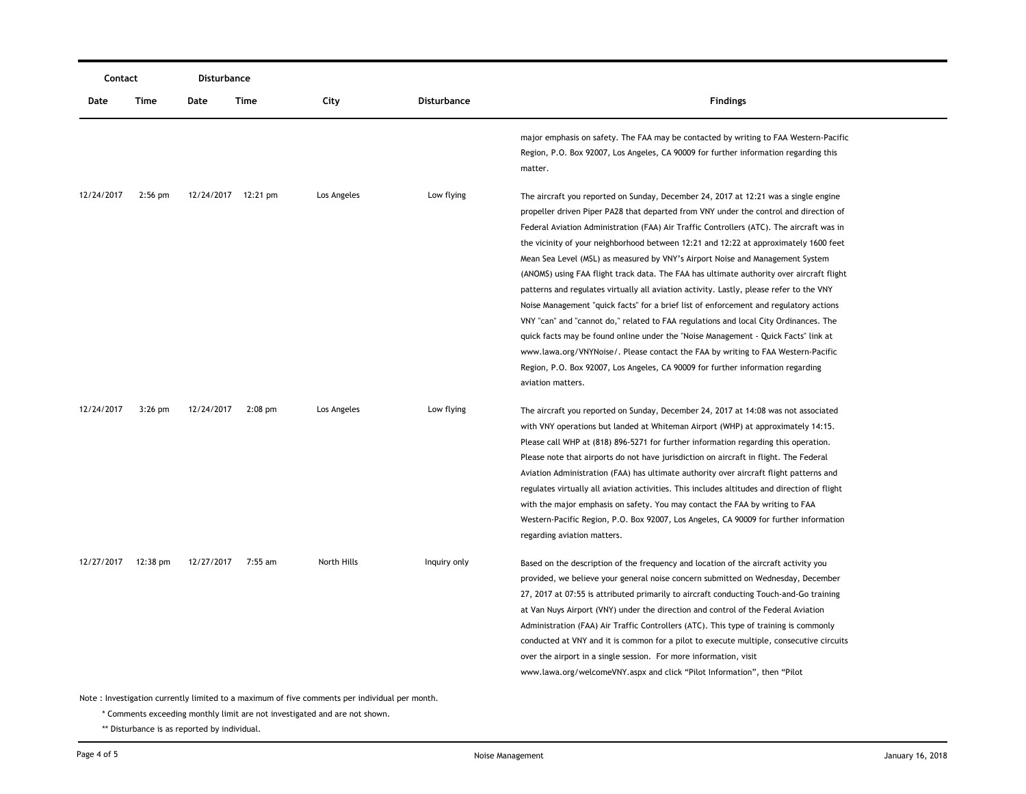| Contact    |                                                                                               | <b>Disturbance</b> |                     |             |                    |                                                                                                                                                                                                                                                                                                                                                                                                                                                                                                                                                                                                                                                                                                                                                                                                                                                                                                                                                                                                                                                                                                             |  |  |  |
|------------|-----------------------------------------------------------------------------------------------|--------------------|---------------------|-------------|--------------------|-------------------------------------------------------------------------------------------------------------------------------------------------------------------------------------------------------------------------------------------------------------------------------------------------------------------------------------------------------------------------------------------------------------------------------------------------------------------------------------------------------------------------------------------------------------------------------------------------------------------------------------------------------------------------------------------------------------------------------------------------------------------------------------------------------------------------------------------------------------------------------------------------------------------------------------------------------------------------------------------------------------------------------------------------------------------------------------------------------------|--|--|--|
| Date       | Time                                                                                          | Date               | Time                | City        | <b>Disturbance</b> | <b>Findings</b>                                                                                                                                                                                                                                                                                                                                                                                                                                                                                                                                                                                                                                                                                                                                                                                                                                                                                                                                                                                                                                                                                             |  |  |  |
|            |                                                                                               |                    |                     |             |                    | major emphasis on safety. The FAA may be contacted by writing to FAA Western-Pacific<br>Region, P.O. Box 92007, Los Angeles, CA 90009 for further information regarding this<br>matter.                                                                                                                                                                                                                                                                                                                                                                                                                                                                                                                                                                                                                                                                                                                                                                                                                                                                                                                     |  |  |  |
| 12/24/2017 | $2:56$ pm                                                                                     |                    | 12/24/2017 12:21 pm | Los Angeles | Low flying         | The aircraft you reported on Sunday, December 24, 2017 at 12:21 was a single engine<br>propeller driven Piper PA28 that departed from VNY under the control and direction of<br>Federal Aviation Administration (FAA) Air Traffic Controllers (ATC). The aircraft was in<br>the vicinity of your neighborhood between 12:21 and 12:22 at approximately 1600 feet<br>Mean Sea Level (MSL) as measured by VNY's Airport Noise and Management System<br>(ANOMS) using FAA flight track data. The FAA has ultimate authority over aircraft flight<br>patterns and regulates virtually all aviation activity. Lastly, please refer to the VNY<br>Noise Management "quick facts" for a brief list of enforcement and regulatory actions<br>VNY "can" and "cannot do," related to FAA regulations and local City Ordinances. The<br>quick facts may be found online under the "Noise Management - Quick Facts" link at<br>www.lawa.org/VNYNoise/. Please contact the FAA by writing to FAA Western-Pacific<br>Region, P.O. Box 92007, Los Angeles, CA 90009 for further information regarding<br>aviation matters. |  |  |  |
| 12/24/2017 | $3:26$ pm                                                                                     | 12/24/2017         | $2:08$ pm           | Los Angeles | Low flying         | The aircraft you reported on Sunday, December 24, 2017 at 14:08 was not associated<br>with VNY operations but landed at Whiteman Airport (WHP) at approximately 14:15.<br>Please call WHP at (818) 896-5271 for further information regarding this operation.<br>Please note that airports do not have jurisdiction on aircraft in flight. The Federal<br>Aviation Administration (FAA) has ultimate authority over aircraft flight patterns and<br>regulates virtually all aviation activities. This includes altitudes and direction of flight<br>with the major emphasis on safety. You may contact the FAA by writing to FAA<br>Western-Pacific Region, P.O. Box 92007, Los Angeles, CA 90009 for further information<br>regarding aviation matters.                                                                                                                                                                                                                                                                                                                                                    |  |  |  |
| 12/27/2017 | $12:38 \text{ pm}$                                                                            | 12/27/2017         | 7:55 am             | North Hills | Inquiry only       | Based on the description of the frequency and location of the aircraft activity you<br>provided, we believe your general noise concern submitted on Wednesday, December<br>27, 2017 at 07:55 is attributed primarily to aircraft conducting Touch-and-Go training<br>at Van Nuys Airport (VNY) under the direction and control of the Federal Aviation<br>Administration (FAA) Air Traffic Controllers (ATC). This type of training is commonly<br>conducted at VNY and it is common for a pilot to execute multiple, consecutive circuits<br>over the airport in a single session. For more information, visit<br>www.lawa.org/welcomeVNY.aspx and click "Pilot Information", then "Pilot                                                                                                                                                                                                                                                                                                                                                                                                                  |  |  |  |
|            | Note: Investigation currently limited to a maximum of five comments per individual per month. |                    |                     |             |                    |                                                                                                                                                                                                                                                                                                                                                                                                                                                                                                                                                                                                                                                                                                                                                                                                                                                                                                                                                                                                                                                                                                             |  |  |  |

\* Comments exceeding monthly limit are not investigated and are not shown.